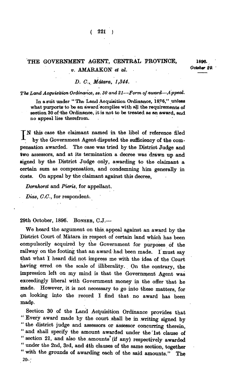## THE GOVERNMENT AGENT, CENTRAL PROVINCE, 1896.  $v.$  **AMARAKON** et al.  $Octot$

**( 221 )** 

## *D. C., Mátara, 1,344.*

## *The Land Acquisition Ordinance, ss. 30 and 21—Form of award—Appeal.*

**In a suit under " The Land Acquisition Ordinance, 1876," unless**  what purports to be an award complies with all the requirements of **section 30 of the Ordinance, it is not to be treated as an award, and no appeal lies therefrom.** 

**T N this case the claimant named in the libel of reference filed \_ by the Government Agent disputed the sufficiency of the compensation awarded. The case was tried by the District Judge and two assessors, and at its termination a decree was drawn up and signed by the District Judge only, awarding to the claimant a certain sum as compensation, and condemning him generally in costs. On appeal by the claimant against this decree,** 

*Dornhorst* **and** *Pieris,* **for appellant.** 

*Dias, C.C.,* **for respondent.** 

**29th October, 1896. BONSEB , C.J.—** 

**We heard the argument on this, appeal against an award by the District Court of Matara in respect of certain land which has been compulsorily acquired by the Government for purposes of the railway on the footing that an award had been made. I must say that what I heard did not impress me with the idea of the Court having erred on the scale of illiberality. On the contrary, the impression left on my mind is that the Government Agent was exceedingly liberal with Government money in the offer that he made. However, it is not necessary to go into these matters, for on looking into the record I find that no award has been made.** 

**Section 30 of the Land Acquisition Ordinance provides that " Every award made by the court shall be in writing signed by " the district judge and assessors or assessor concurring therein, " and shall specify the amount awarded under the 1st clause of " section 21, and also the.amounts (if any) respectively awarded " under the 2nd, 3rd, and 4th clauses of the same section, together " with the grounds of awarding each of the said amounts." The 20-;**